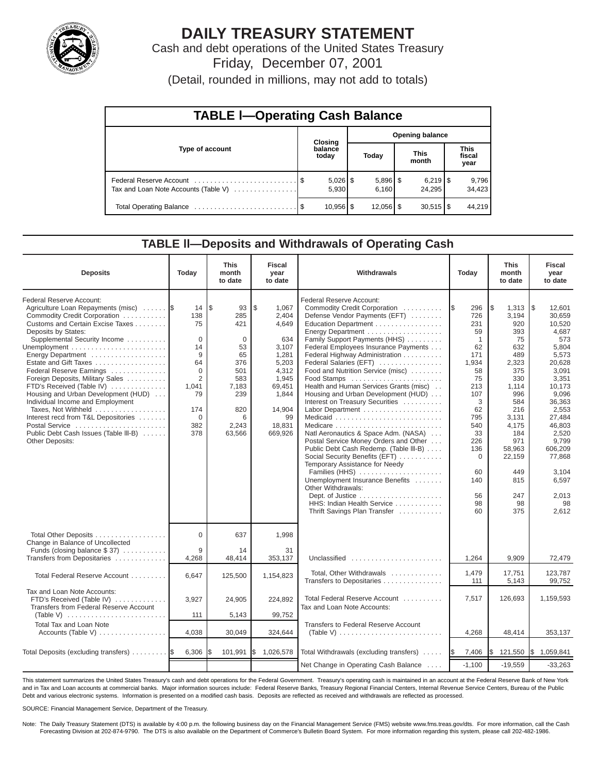

# **DAILY TREASURY STATEMENT**

Cash and debt operations of the United States Treasury Friday, December 07, 2001

(Detail, rounded in millions, may not add to totals)

| <b>TABLE I-Operating Cash Balance</b> |  |                        |       |                        |  |                        |  |                               |  |  |
|---------------------------------------|--|------------------------|-------|------------------------|--|------------------------|--|-------------------------------|--|--|
|                                       |  | Closing                |       | <b>Opening balance</b> |  |                        |  |                               |  |  |
| Type of account                       |  | balance<br>today       | Today |                        |  | <b>This</b><br>month   |  | <b>This</b><br>fiscal<br>year |  |  |
| Tax and Loan Note Accounts (Table V)  |  | 5.930                  |       | $5,896$ \$<br>6.160    |  | 24.295                 |  | 9,796<br>34,423               |  |  |
|                                       |  | $10,956$ $\frac{8}{3}$ |       | $12,056$ $\frac{1}{3}$ |  | $30,515$ $\frac{1}{3}$ |  | 44.219                        |  |  |

#### **TABLE ll—Deposits and Withdrawals of Operating Cash**

| <b>Deposits</b>                                                                                                                                                                                                                                                                                                                                                                                                                                                                                                                                             | Today                                                                                                                      | <b>This</b><br>month<br>to date                                                                                                          | <b>Fiscal</b><br>year<br>to date                                                                                                          | Withdrawals<br>Today                                                                                                                                                                                                                                                                                                                                                                                                                                                                                                                                                                                                                                                                                                                                                                                             |                                                                                                                                                                                           | <b>This</b><br>month<br>to date                                                                                                                                                                    | <b>Fiscal</b><br>year<br>to date                                                                                                                                                                                                                  |
|-------------------------------------------------------------------------------------------------------------------------------------------------------------------------------------------------------------------------------------------------------------------------------------------------------------------------------------------------------------------------------------------------------------------------------------------------------------------------------------------------------------------------------------------------------------|----------------------------------------------------------------------------------------------------------------------------|------------------------------------------------------------------------------------------------------------------------------------------|-------------------------------------------------------------------------------------------------------------------------------------------|------------------------------------------------------------------------------------------------------------------------------------------------------------------------------------------------------------------------------------------------------------------------------------------------------------------------------------------------------------------------------------------------------------------------------------------------------------------------------------------------------------------------------------------------------------------------------------------------------------------------------------------------------------------------------------------------------------------------------------------------------------------------------------------------------------------|-------------------------------------------------------------------------------------------------------------------------------------------------------------------------------------------|----------------------------------------------------------------------------------------------------------------------------------------------------------------------------------------------------|---------------------------------------------------------------------------------------------------------------------------------------------------------------------------------------------------------------------------------------------------|
| Federal Reserve Account:<br>Agriculture Loan Repayments (misc)<br>Commodity Credit Corporation<br>Customs and Certain Excise Taxes<br>Deposits by States:<br>Supplemental Security Income<br>Energy Department<br>Estate and Gift Taxes<br>Federal Reserve Earnings<br>Foreign Deposits, Military Sales<br>FTD's Received (Table IV)<br>Housing and Urban Development (HUD)<br>Individual Income and Employment<br>Taxes, Not Withheld<br>Interest recd from T&L Depositories<br>Postal Service<br>Public Debt Cash Issues (Table III-B)<br>Other Deposits: | 14<br>138<br>75<br>$\Omega$<br>14<br>9<br>64<br>$\Omega$<br>$\overline{2}$<br>1.041<br>79<br>174<br>$\Omega$<br>382<br>378 | $\overline{\mathcal{S}}$<br>93<br>285<br>421<br>$\Omega$<br>53<br>65<br>376<br>501<br>583<br>7.183<br>239<br>820<br>6<br>2,243<br>63,566 | \$<br>1,067<br>2,404<br>4,649<br>634<br>3.107<br>1.281<br>5,203<br>4,312<br>1,945<br>69,451<br>1,844<br>14,904<br>99<br>18,831<br>669,926 | Federal Reserve Account:<br>Commodity Credit Corporation<br>Defense Vendor Payments (EFT)<br>Education Department<br>Energy Department<br>Family Support Payments (HHS)<br>Federal Employees Insurance Payments<br>Federal Highway Administration<br>Federal Salaries (EFT)<br>Food and Nutrition Service (misc)<br>Food Stamps<br>Health and Human Services Grants (misc)<br>Housing and Urban Development (HUD)<br>Interest on Treasury Securities<br>Labor Department<br>Natl Aeronautics & Space Adm. (NASA)<br>Postal Service Money Orders and Other<br>Public Debt Cash Redemp. (Table III-B)<br>Social Security Benefits (EFT)<br>Temporary Assistance for Needy<br>Families (HHS)<br>Unemployment Insurance Benefits<br>Other Withdrawals:<br>HHS: Indian Health Service<br>Thrift Savings Plan Transfer | 296<br>1\$<br>726<br>231<br>59<br>$\mathbf{1}$<br>62<br>171<br>1,934<br>58<br>75<br>213<br>107<br>3<br>62<br>795<br>540<br>33<br>226<br>136<br>$\mathbf 0$<br>60<br>140<br>56<br>98<br>60 | Ι\$<br>1,313<br>3,194<br>920<br>393<br>75<br>632<br>489<br>2,323<br>375<br>330<br>1.114<br>996<br>584<br>216<br>3,131<br>4,175<br>184<br>971<br>58,963<br>22,159<br>449<br>815<br>247<br>98<br>375 | $\sqrt{3}$<br>12.601<br>30.659<br>10,520<br>4,687<br>573<br>5.804<br>5.573<br>20,628<br>3,091<br>3,351<br>10.173<br>9.096<br>36,363<br>2,553<br>27,484<br>46,803<br>2.520<br>9,799<br>606,209<br>77.868<br>3.104<br>6,597<br>2,013<br>98<br>2,612 |
| Total Other Deposits<br>Change in Balance of Uncollected                                                                                                                                                                                                                                                                                                                                                                                                                                                                                                    | 0                                                                                                                          | 637                                                                                                                                      | 1,998                                                                                                                                     |                                                                                                                                                                                                                                                                                                                                                                                                                                                                                                                                                                                                                                                                                                                                                                                                                  |                                                                                                                                                                                           |                                                                                                                                                                                                    |                                                                                                                                                                                                                                                   |
| Funds (closing balance $$37)$<br>Transfers from Depositaries                                                                                                                                                                                                                                                                                                                                                                                                                                                                                                | 9<br>4,268                                                                                                                 | 14<br>48,414                                                                                                                             | 31<br>353,137                                                                                                                             | Unclassified                                                                                                                                                                                                                                                                                                                                                                                                                                                                                                                                                                                                                                                                                                                                                                                                     | 1,264                                                                                                                                                                                     | 9,909                                                                                                                                                                                              | 72,479                                                                                                                                                                                                                                            |
| Total Federal Reserve Account                                                                                                                                                                                                                                                                                                                                                                                                                                                                                                                               | 6.647                                                                                                                      | 125,500                                                                                                                                  | 1,154,823                                                                                                                                 | Total, Other Withdrawals<br>Transfers to Depositaries                                                                                                                                                                                                                                                                                                                                                                                                                                                                                                                                                                                                                                                                                                                                                            | 1,479<br>111                                                                                                                                                                              | 17,751<br>5,143                                                                                                                                                                                    | 123,787<br>99,752                                                                                                                                                                                                                                 |
| Tax and Loan Note Accounts:<br>FTD's Received (Table IV)<br>Transfers from Federal Reserve Account<br>(Table V) $\ldots \ldots \ldots \ldots \ldots \ldots \ldots$                                                                                                                                                                                                                                                                                                                                                                                          | 3,927<br>111                                                                                                               | 24,905<br>5,143                                                                                                                          | 224,892<br>99,752                                                                                                                         | Total Federal Reserve Account<br>Tax and Loan Note Accounts:                                                                                                                                                                                                                                                                                                                                                                                                                                                                                                                                                                                                                                                                                                                                                     | 7,517                                                                                                                                                                                     | 126,693                                                                                                                                                                                            | 1.159.593                                                                                                                                                                                                                                         |
| Total Tax and Loan Note<br>Accounts (Table V)                                                                                                                                                                                                                                                                                                                                                                                                                                                                                                               | 4,038                                                                                                                      | 30,049                                                                                                                                   | 324,644                                                                                                                                   | Transfers to Federal Reserve Account<br>(Table V) $\ldots \ldots \ldots \ldots \ldots \ldots \ldots \ldots$                                                                                                                                                                                                                                                                                                                                                                                                                                                                                                                                                                                                                                                                                                      | 4,268                                                                                                                                                                                     | 48,414                                                                                                                                                                                             | 353,137                                                                                                                                                                                                                                           |
| Total Deposits (excluding transfers)                                                                                                                                                                                                                                                                                                                                                                                                                                                                                                                        | 6,306                                                                                                                      | 101,991                                                                                                                                  | 1,026,578<br>I\$                                                                                                                          | Total Withdrawals (excluding transfers)                                                                                                                                                                                                                                                                                                                                                                                                                                                                                                                                                                                                                                                                                                                                                                          | 7,406<br><b>IS</b>                                                                                                                                                                        | 121,550<br>IS.                                                                                                                                                                                     | $\frac{1}{2}$ 1,059,841                                                                                                                                                                                                                           |
|                                                                                                                                                                                                                                                                                                                                                                                                                                                                                                                                                             |                                                                                                                            |                                                                                                                                          |                                                                                                                                           | Net Change in Operating Cash Balance                                                                                                                                                                                                                                                                                                                                                                                                                                                                                                                                                                                                                                                                                                                                                                             | $-1,100$                                                                                                                                                                                  | $-19,559$                                                                                                                                                                                          | $-33,263$                                                                                                                                                                                                                                         |

This statement summarizes the United States Treasury's cash and debt operations for the Federal Government. Treasury's operating cash is maintained in an account at the Federal Reserve Bank of New York and in Tax and Loan accounts at commercial banks. Major information sources include: Federal Reserve Banks, Treasury Regional Financial Centers, Internal Revenue Service Centers, Bureau of the Public Debt and various electronic systems. Information is presented on a modified cash basis. Deposits are reflected as received and withdrawals are reflected as processed.

SOURCE: Financial Management Service, Department of the Treasury.

Note: The Daily Treasury Statement (DTS) is available by 4:00 p.m. the following business day on the Financial Management Service (FMS) website www.fms.treas.gov/dts. For more information, call the Cash Forecasting Division at 202-874-9790. The DTS is also available on the Department of Commerce's Bulletin Board System. For more information regarding this system, please call 202-482-1986.